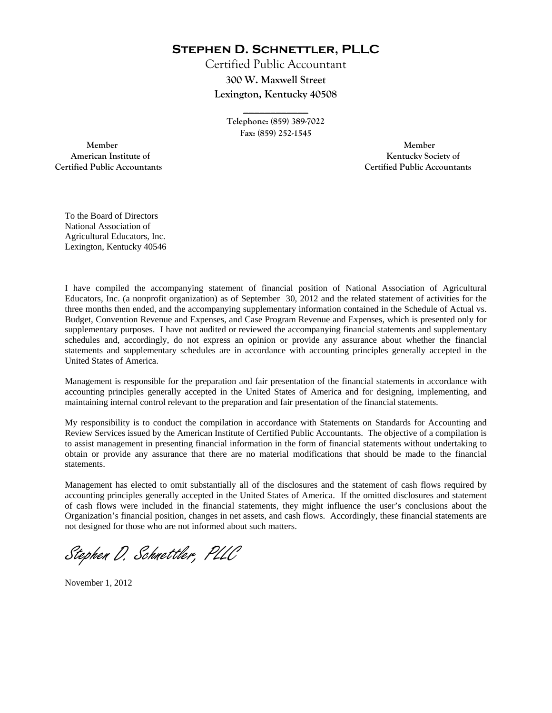**Stephen D. Schnettler, PLLC**

Certified Public Accountant **300 W. Maxwell Street Lexington, Kentucky 40508** 

> **Telephone: (859) 389-7022 Fax: (859) 252-1545**

**\_\_\_\_\_\_\_\_\_\_\_\_** 

 **Member Member Certified Public Accountants Certified Public Accountants** 

American Institute of **Kentucky Society of** 

To the Board of Directors National Association of Agricultural Educators, Inc. Lexington, Kentucky 40546

I have compiled the accompanying statement of financial position of National Association of Agricultural Educators, Inc. (a nonprofit organization) as of September 30, 2012 and the related statement of activities for the three months then ended, and the accompanying supplementary information contained in the Schedule of Actual vs. Budget, Convention Revenue and Expenses, and Case Program Revenue and Expenses, which is presented only for supplementary purposes. I have not audited or reviewed the accompanying financial statements and supplementary schedules and, accordingly, do not express an opinion or provide any assurance about whether the financial statements and supplementary schedules are in accordance with accounting principles generally accepted in the United States of America.

Management is responsible for the preparation and fair presentation of the financial statements in accordance with accounting principles generally accepted in the United States of America and for designing, implementing, and maintaining internal control relevant to the preparation and fair presentation of the financial statements.

My responsibility is to conduct the compilation in accordance with Statements on Standards for Accounting and Review Services issued by the American Institute of Certified Public Accountants. The objective of a compilation is to assist management in presenting financial information in the form of financial statements without undertaking to obtain or provide any assurance that there are no material modifications that should be made to the financial statements.

Management has elected to omit substantially all of the disclosures and the statement of cash flows required by accounting principles generally accepted in the United States of America. If the omitted disclosures and statement of cash flows were included in the financial statements, they might influence the user's conclusions about the Organization's financial position, changes in net assets, and cash flows. Accordingly, these financial statements are not designed for those who are not informed about such matters.

Stephen D. Schnettler, PLLC

November 1, 2012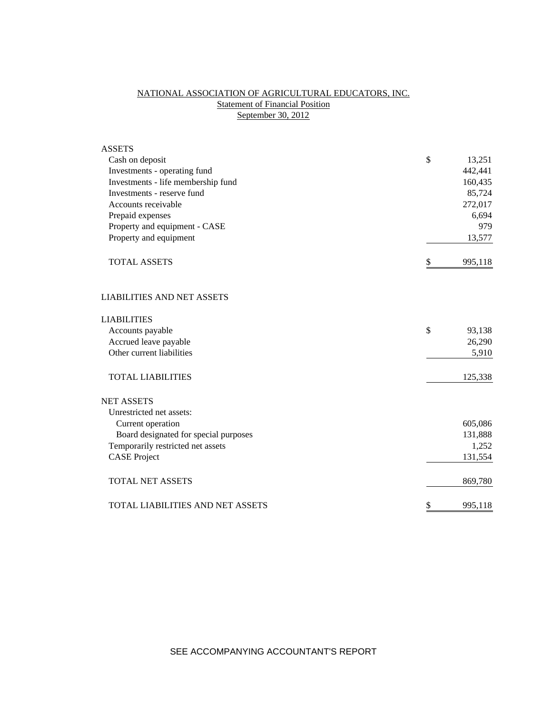# NATIONAL ASSOCIATION OF AGRICULTURAL EDUCATORS, INC. **Statement of Financial Position** September 30, 2012

| <b>ASSETS</b>                         |               |         |
|---------------------------------------|---------------|---------|
| Cash on deposit                       | \$            | 13,251  |
| Investments - operating fund          |               | 442,441 |
| Investments - life membership fund    |               | 160,435 |
| Investments - reserve fund            |               | 85,724  |
| Accounts receivable                   |               | 272,017 |
| Prepaid expenses                      |               | 6,694   |
| Property and equipment - CASE         |               | 979     |
| Property and equipment                |               | 13,577  |
| <b>TOTAL ASSETS</b>                   | \$            | 995,118 |
| <b>LIABILITIES AND NET ASSETS</b>     |               |         |
| <b>LIABILITIES</b>                    |               |         |
| Accounts payable                      | $\mathcal{S}$ | 93,138  |
| Accrued leave payable                 |               | 26,290  |
| Other current liabilities             |               | 5,910   |
| <b>TOTAL LIABILITIES</b>              |               | 125,338 |
| <b>NET ASSETS</b>                     |               |         |
| Unrestricted net assets:              |               |         |
| Current operation                     |               | 605,086 |
| Board designated for special purposes |               | 131,888 |
| Temporarily restricted net assets     |               | 1,252   |
| <b>CASE Project</b>                   |               | 131,554 |
| <b>TOTAL NET ASSETS</b>               |               | 869,780 |
| TOTAL LIABILITIES AND NET ASSETS      | \$            | 995,118 |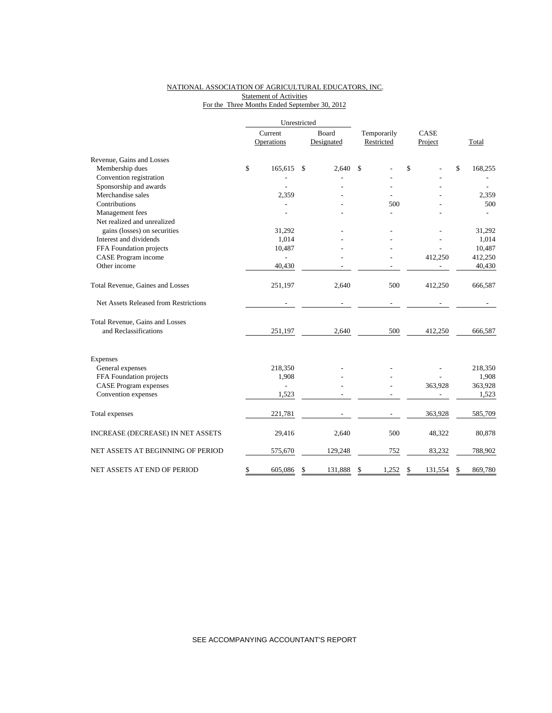### NATIONAL ASSOCIATION OF AGRICULTURAL EDUCATORS, INC. **Statement of Activities** For the Three Months Ended September 30, 2012

|                                       |                       | Unrestricted  |                     |         |                           |                 |    |         |  |
|---------------------------------------|-----------------------|---------------|---------------------|---------|---------------------------|-----------------|----|---------|--|
|                                       | Current<br>Operations |               | Board<br>Designated |         | Temporarily<br>Restricted | CASE<br>Project |    | Total   |  |
| Revenue, Gains and Losses             |                       |               |                     |         |                           |                 |    |         |  |
| Membership dues                       | \$                    | 165.615       | \$                  | 2.640   | \$                        | \$              | \$ | 168,255 |  |
| Convention registration               |                       |               |                     |         |                           |                 |    |         |  |
| Sponsorship and awards                |                       |               |                     |         |                           |                 |    |         |  |
| Merchandise sales                     |                       | 2,359         |                     |         |                           |                 |    | 2,359   |  |
| Contributions                         |                       |               |                     |         | 500                       |                 |    | 500     |  |
| Management fees                       |                       |               |                     |         |                           |                 |    |         |  |
| Net realized and unrealized           |                       |               |                     |         |                           |                 |    |         |  |
| gains (losses) on securities          |                       | 31,292        |                     |         |                           |                 |    | 31,292  |  |
| Interest and dividends                |                       | 1,014         |                     |         |                           |                 |    | 1,014   |  |
| FFA Foundation projects               |                       | 10,487        |                     |         |                           |                 |    | 10,487  |  |
| CASE Program income                   |                       |               |                     |         |                           | 412,250         |    | 412,250 |  |
| Other income                          |                       | 40,430        |                     |         |                           |                 |    | 40,430  |  |
| Total Revenue, Gaines and Losses      |                       | 251,197       |                     | 2,640   | 500                       | 412,250         |    | 666,587 |  |
| Net Assets Released from Restrictions |                       |               |                     |         |                           |                 |    |         |  |
| Total Revenue, Gains and Losses       |                       |               |                     |         |                           |                 |    |         |  |
| and Reclassifications                 |                       | 251,197       |                     | 2,640   | 500                       | 412,250         |    | 666,587 |  |
| Expenses                              |                       |               |                     |         |                           |                 |    |         |  |
| General expenses                      |                       | 218,350       |                     |         |                           |                 |    | 218,350 |  |
| FFA Foundation projects               |                       | 1,908         |                     |         |                           |                 |    | 1,908   |  |
| <b>CASE Program expenses</b>          |                       | $\frac{1}{2}$ |                     |         |                           | 363,928         |    | 363,928 |  |
| Convention expenses                   |                       | 1,523         |                     |         |                           |                 |    | 1,523   |  |
| Total expenses                        |                       | 221,781       |                     |         |                           | 363,928         |    | 585,709 |  |
| INCREASE (DECREASE) IN NET ASSETS     |                       | 29,416        |                     | 2,640   | 500                       | 48,322          |    | 80,878  |  |
| NET ASSETS AT BEGINNING OF PERIOD     |                       | 575,670       |                     | 129,248 | 752                       | 83,232          |    | 788,902 |  |
| NET ASSETS AT END OF PERIOD           | \$                    | 605,086       | \$                  | 131,888 | 1,252<br>\$               | \$<br>131,554   | \$ | 869,780 |  |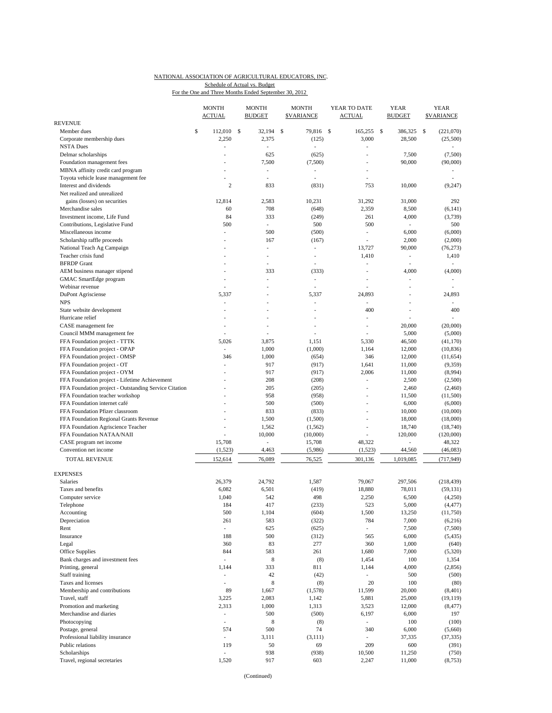# NATIONAL ASSOCIATION OF AGRICULTURAL EDUCATORS, INC.

For the One and Three Months Ended September 30, 2012 Schedule of Actual vs. Budget

|                                                           | <b>MONTH</b><br><b>ACTUAL</b> |                                 |     | <b>MONTH</b><br><b>BUDGET</b>   | <b>MONTH</b><br><b><i>SVARIANCE</i></b> |                                   |     | YEAR TO DATE<br><b>ACTUAL</b> |      | YEAR<br><b>BUDGET</b>             | YEAR<br><b><i>SVARIANCE</i></b> |
|-----------------------------------------------------------|-------------------------------|---------------------------------|-----|---------------------------------|-----------------------------------------|-----------------------------------|-----|-------------------------------|------|-----------------------------------|---------------------------------|
| <b>REVENUE</b>                                            |                               |                                 |     |                                 |                                         |                                   |     |                               |      |                                   |                                 |
| Member dues                                               | \$                            | 112,010                         | -\$ | 32,194                          | \$                                      | 79,816                            | -\$ | 165,255                       | - \$ | 386,325                           | \$<br>(221,070)                 |
| Corporate membership dues                                 |                               | 2,250                           |     | 2,375                           |                                         | (125)                             |     | 3,000                         |      | 28,500                            | (25,500)                        |
| <b>NSTA Dues</b>                                          |                               | ä,                              |     | $\overline{\phantom{a}}$        |                                         | L,                                |     | L.                            |      |                                   |                                 |
| Delmar scholarships                                       |                               |                                 |     | 625                             |                                         | (625)                             |     |                               |      | 7,500                             | (7,500)                         |
| Foundation management fees                                |                               |                                 |     | 7,500                           |                                         | (7,500)                           |     | ä,                            |      | 90,000                            | (90,000)                        |
| MBNA affinity credit card program                         |                               |                                 |     | ٠                               |                                         | ٠                                 |     | ÷,                            |      |                                   |                                 |
| Toyota vehicle lease management fee                       |                               |                                 |     | ÷,                              |                                         | L,                                |     | ä,                            |      |                                   |                                 |
| Interest and dividends                                    |                               | $\overline{2}$                  |     | 833                             |                                         | (831)                             |     | 753                           |      | 10,000                            | (9,247)                         |
| Net realized and unrealized                               |                               |                                 |     |                                 |                                         |                                   |     |                               |      |                                   |                                 |
| gains (losses) on securities                              |                               | 12,814                          |     | 2,583                           |                                         | 10,231                            |     | 31,292                        |      | 31,000                            | 292                             |
| Merchandise sales                                         |                               | 60                              |     | 708                             |                                         | (648)                             |     | 2,359                         |      | 8,500                             | (6, 141)                        |
| Investment income, Life Fund                              |                               | 84                              |     | 333                             |                                         | (249)                             |     | 261                           |      | 4,000                             | (3,739)                         |
| Contributions, Legislative Fund                           |                               | 500<br>ä,                       |     | $\overline{\phantom{a}}$<br>500 |                                         | 500<br>(500)                      |     | 500<br>÷,                     |      | $\overline{\phantom{a}}$<br>6,000 | 500<br>(6,000)                  |
| Miscellaneous income                                      |                               |                                 |     | 167                             |                                         |                                   |     | ÷,                            |      | 2,000                             | (2,000)                         |
| Scholarship raffle proceeds<br>National Teach Ag Campaign |                               |                                 |     | $\overline{\phantom{a}}$        |                                         | (167)<br>$\overline{\phantom{0}}$ |     | 13,727                        |      | 90,000                            | (76, 273)                       |
| Teacher crisis fund                                       |                               |                                 |     | ÷,                              |                                         | ÷,                                |     | 1,410                         |      | $\overline{\phantom{a}}$          | 1,410                           |
| <b>BFRDP</b> Grant                                        |                               |                                 |     | ÷,                              |                                         |                                   |     | L.                            |      | $\overline{\phantom{a}}$          |                                 |
| AEM business manager stipend                              |                               |                                 |     | 333                             |                                         | (333)                             |     | Ĭ.                            |      | 4,000                             | (4,000)                         |
| GMAC SmartEdge program                                    |                               |                                 |     | ÷,                              |                                         | ÷,                                |     |                               |      | $\overline{a}$                    |                                 |
| Webinar revenue                                           |                               | ä,                              |     | ÷,                              |                                         | ٠                                 |     | ÷,                            |      | ٠                                 |                                 |
| <b>DuPont Agrisciense</b>                                 |                               | 5,337                           |     |                                 |                                         | 5,337                             |     | 24,893                        |      |                                   | 24,893                          |
| <b>NPS</b>                                                |                               | L,                              |     | ÷,                              |                                         | ÷,                                |     | ÷,                            |      | $\overline{a}$                    |                                 |
| State website development                                 |                               |                                 |     |                                 |                                         |                                   |     | 400                           |      |                                   | 400                             |
| Hurricane relief                                          |                               |                                 |     |                                 |                                         |                                   |     | Ĭ.                            |      |                                   |                                 |
| CASE management fee                                       |                               | ٠                               |     | ÷,                              |                                         | ä,                                |     | ÷,                            |      | 20,000                            | (20,000)                        |
| Council MMM management fee                                |                               |                                 |     | ÷,                              |                                         | ä,                                |     | ä,                            |      | 5,000                             | (5,000)                         |
| FFA Foundation project - TTTK                             |                               | 5,026                           |     | 3,875                           |                                         | 1,151                             |     | 5,330                         |      | 46,500                            | (41, 170)                       |
| FFA Foundation project - OPAP                             |                               | ÷,                              |     | 1,000                           |                                         | (1,000)                           |     | 1,164                         |      | 12,000                            | (10, 836)                       |
| FFA Foundation project - OMSP                             |                               | 346                             |     | 1,000                           |                                         | (654)                             |     | 346                           |      | 12,000                            | (11, 654)                       |
| FFA Foundation project - OT                               |                               | ÷,                              |     | 917                             |                                         | (917)                             |     | 1,641                         |      | 11,000                            | (9,359)                         |
| FFA Foundation project - OYM                              |                               |                                 |     | 917                             |                                         | (917)                             |     | 2,006                         |      | 11,000                            | (8,994)                         |
| FFA Foundation project - Lifetime Achievement             |                               |                                 |     | 208                             |                                         | (208)                             |     | L,                            |      | 2,500                             | (2,500)                         |
| FFA Foundation project - Outstanding Service Citation     |                               |                                 |     | 205                             |                                         | (205)                             |     | ÷,                            |      | 2,460                             | (2,460)                         |
| FFA Foundation teacher workshop                           |                               |                                 |     | 958                             |                                         | (958)                             |     | ä,                            |      | 11,500                            | (11,500)                        |
| FFA Foundation internet café                              |                               |                                 |     | 500                             |                                         | (500)                             |     |                               |      | 6,000                             | (6,000)                         |
| FFA Foundation Pfizer classroom                           |                               |                                 |     | 833                             |                                         | (833)                             |     |                               |      | 10,000                            | (10,000)                        |
| FFA Foundation Regional Grants Revenue                    |                               |                                 |     | 1,500                           |                                         | (1,500)                           |     | Ĭ.                            |      | 18,000                            | (18,000)                        |
| FFA Foundation Agriscience Teacher                        |                               | ÷,                              |     | 1,562                           |                                         | (1, 562)                          |     | $\overline{\phantom{a}}$      |      | 18,740                            | (18,740)                        |
| FFA Foundation NATAA/NAII                                 |                               | ÷,                              |     | 10,000                          |                                         | (10,000)                          |     | L,                            |      | 120,000                           | (120,000)                       |
| CASE program net income                                   |                               | 15,708                          |     | ÷                               |                                         | 15,708                            |     | 48,322                        |      | ä,                                | 48,322                          |
| Convention net income                                     |                               | (1, 523)                        |     | 4,463                           |                                         | (5,986)                           |     | (1, 523)                      |      | 44,560                            | (46,083)                        |
| TOTAL REVENUE                                             |                               | 152,614                         |     | 76,089                          |                                         | 76,525                            |     | 301,136                       |      | 1,019,085                         | (717, 949)                      |
|                                                           |                               |                                 |     |                                 |                                         |                                   |     |                               |      |                                   |                                 |
| <b>EXPENSES</b>                                           |                               |                                 |     |                                 |                                         |                                   |     |                               |      |                                   |                                 |
| <b>Salaries</b>                                           |                               | 26,379                          |     | 24,792                          |                                         | 1,587                             |     | 79,067                        |      | 297,506                           | (218, 439)                      |
| Taxes and benefits                                        |                               | 6,082                           |     | 6,501                           |                                         | (419)                             |     | 18,880                        |      | 78,011                            | (59, 131)                       |
| Computer service                                          |                               | 1,040                           |     | 542                             |                                         | 498                               |     | 2,250                         |      | 6,500                             | (4,250)                         |
| Telephone                                                 |                               | 184                             |     | 417                             |                                         | (233)                             |     | 523                           |      | 5,000                             | (4, 477)                        |
| Accounting                                                |                               | 500                             |     | 1,104                           |                                         | (604)                             |     | 1,500                         |      | 13,250                            | (11,750)                        |
| Depreciation<br>Rent                                      |                               | 261<br>$\overline{\phantom{a}}$ |     | 583                             |                                         | (322)                             |     | 784<br>÷,                     |      | 7,000                             | (6,216)                         |
| Insurance                                                 |                               | 188                             |     | 625<br>500                      |                                         | (625)                             |     |                               |      | 7,500<br>6,000                    | (7,500)<br>(5, 435)             |
|                                                           |                               | 360                             |     | 83                              |                                         | (312)<br>277                      |     | 565<br>360                    |      |                                   |                                 |
| Legal<br>Office Supplies                                  |                               | 844                             |     | 583                             |                                         | 261                               |     | 1,680                         |      | 1,000<br>7,000                    | (640)<br>(5,320)                |
| Bank charges and investment fees                          |                               | $\overline{\phantom{a}}$        |     | 8                               |                                         | (8)                               |     | 1,454                         |      | 100                               | 1,354                           |
| Printing, general                                         |                               | 1,144                           |     | 333                             |                                         | 811                               |     | 1,144                         |      | 4,000                             | (2,856)                         |
| Staff training                                            |                               | ÷,                              |     | 42                              |                                         | (42)                              |     | $\overline{\phantom{a}}$      |      | 500                               | (500)                           |
| Taxes and licenses                                        |                               | ÷                               |     | $\,$ 8 $\,$                     |                                         | (8)                               |     | 20                            |      | 100                               | (80)                            |
| Membership and contributions                              |                               | 89                              |     | 1,667                           |                                         | (1,578)                           |     | 11,599                        |      | 20,000                            | (8, 401)                        |
| Travel, staff                                             |                               | 3,225                           |     | 2,083                           |                                         | 1,142                             |     | 5,881                         |      | 25,000                            | (19, 119)                       |
| Promotion and marketing                                   |                               | 2,313                           |     | 1,000                           |                                         | 1,313                             |     | 3,523                         |      | 12,000                            | (8, 477)                        |
| Merchandise and diaries                                   |                               | $\overline{\phantom{a}}$        |     | 500                             |                                         | (500)                             |     | 6,197                         |      | 6,000                             | 197                             |
| Photocopying                                              |                               | $\overline{\phantom{a}}$        |     | 8                               |                                         | (8)                               |     | ÷,                            |      | 100                               | (100)                           |
| Postage, general                                          |                               | 574                             |     | 500                             |                                         | 74                                |     | 340                           |      | 6,000                             | (5,660)                         |
| Professional liability insurance                          |                               | $\overline{\phantom{a}}$        |     | 3,111                           |                                         | (3, 111)                          |     |                               |      | 37,335                            | (37, 335)                       |
| Public relations                                          |                               | 119                             |     | 50                              |                                         | 69                                |     | 209                           |      | 600                               | (391)                           |
| Scholarships                                              |                               | ÷,                              |     | 938                             |                                         | (938)                             |     | 10,500                        |      | 11,250                            | (750)                           |
| Travel, regional secretaries                              |                               | 1,520                           |     | 917                             |                                         | 603                               |     | 2,247                         |      | 11,000                            | (8,753)                         |
|                                                           |                               |                                 |     |                                 |                                         |                                   |     |                               |      |                                   |                                 |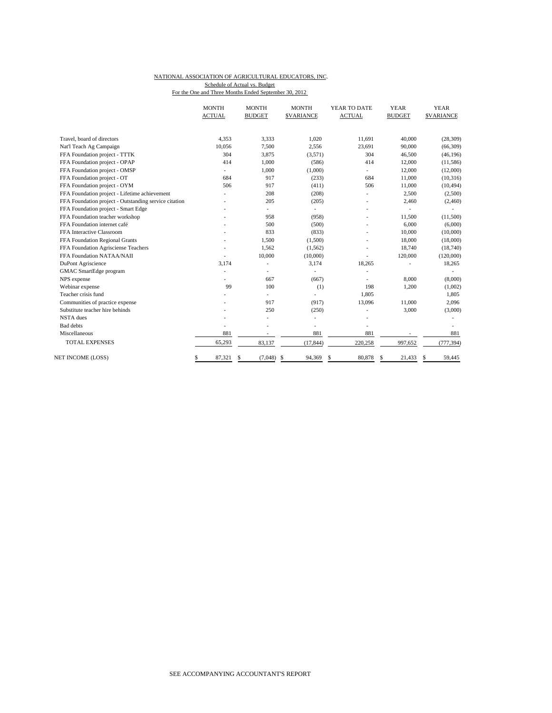#### NATIONAL ASSOCIATION OF AGRICULTURAL EDUCATORS, INC. Schedule of Actual vs. Budget

For the One and Three Months Ended September 30, 2012

|                                                       | <b>MONTH</b><br><b>ACTUAL</b> | <b>MONTH</b><br><b>BUDGET</b> | <b>MONTH</b><br><b>SVARIANCE</b> | YEAR TO DATE<br><b>ACTUAL</b> | <b>YEAR</b><br><b>BUDGET</b> | <b>YEAR</b><br><b><i>SVARIANCE</i></b> |
|-------------------------------------------------------|-------------------------------|-------------------------------|----------------------------------|-------------------------------|------------------------------|----------------------------------------|
|                                                       |                               |                               |                                  |                               |                              |                                        |
| Travel, board of directors                            | 4.353                         | 3,333                         | 1.020                            | 11,691                        | 40,000                       | (28, 309)                              |
| Nat'l Teach Ag Campaign                               | 10,056                        | 7,500                         | 2,556                            | 23,691                        | 90,000                       | (66, 309)                              |
| FFA Foundation project - TTTK                         | 304                           | 3,875                         | (3,571)                          | 304                           | 46,500                       | (46, 196)                              |
| FFA Foundation project - OPAP                         | 414                           | 1,000                         | (586)                            | 414                           | 12,000                       | (11, 586)                              |
| FFA Foundation project - OMSP                         | ÷.                            | 1,000                         | (1,000)                          | ÷.                            | 12,000                       | (12,000)                               |
| FFA Foundation project - OT                           | 684                           | 917                           | (233)                            | 684                           | 11,000                       | (10, 316)                              |
| FFA Foundation project - OYM                          | 506                           | 917                           | (411)                            | 506                           | 11,000                       | (10, 494)                              |
| FFA Foundation project - Lifetime achievement         |                               | 208                           | (208)                            |                               | 2,500                        | (2,500)                                |
| FFA Foundation project - Outstanding service citation |                               | 205                           | (205)                            |                               | 2,460                        | (2,460)                                |
| FFA Foundation project - Smart Edge                   |                               | L.                            |                                  |                               | ÷.                           |                                        |
| FFA Foundation teacher workshop                       |                               | 958                           | (958)                            | ٠                             | 11,500                       | (11,500)                               |
| FFA Foundation internet café                          |                               | 500                           | (500)                            |                               | 6,000                        | (6,000)                                |
| FFA Interactive Classroom                             |                               | 833                           | (833)                            |                               | 10,000                       | (10,000)                               |
| FFA Foundation Regional Grants                        |                               | 1,500                         | (1,500)                          |                               | 18,000                       | (18,000)                               |
| FFA Foundation Agrisciense Teachers                   |                               | 1,562                         | (1, 562)                         |                               | 18,740                       | (18,740)                               |
| FFA Foundation NATAA/NAII                             | ٠                             | 10,000                        | (10,000)                         |                               | 120,000                      | (120,000)                              |
| DuPont Agriscience                                    | 3,174                         | ٠                             | 3,174                            | 18,265                        |                              | 18,265                                 |
| GMAC SmartEdge program                                |                               | ٠                             |                                  |                               |                              |                                        |
| NPS expense                                           |                               | 667                           | (667)                            |                               | 8.000                        | (8,000)                                |
| Webinar expense                                       | 99                            | 100                           | (1)                              | 198                           | 1,200                        | (1,002)                                |
| Teacher crisis fund                                   |                               | $\overline{\phantom{0}}$      | ÷.                               | 1,805                         |                              | 1,805                                  |
| Communities of practice expense                       |                               | 917                           | (917)                            | 13,096                        | 11,000                       | 2,096                                  |
| Substitute teacher hire behinds                       |                               | 250                           | (250)                            |                               | 3,000                        | (3,000)                                |
| <b>NSTA</b> dues                                      |                               | $\overline{a}$                |                                  |                               |                              |                                        |
| <b>Bad</b> debts                                      | ٠                             |                               | ٠                                | ÷,                            |                              |                                        |
| Miscellaneous                                         | 881                           | $\overline{\phantom{a}}$      | 881                              | 881                           |                              | 881                                    |
| <b>TOTAL EXPENSES</b>                                 | 65,293                        | 83,137                        | (17, 844)                        | 220,258                       | 997,652                      | (777, 394)                             |
| NET INCOME (LOSS)                                     | 87,321<br>\$                  | (7,048)<br>\$                 | <sup>\$</sup><br>94,369          | 80,878<br>\$                  | 21,433<br>-S                 | 59,445<br>S                            |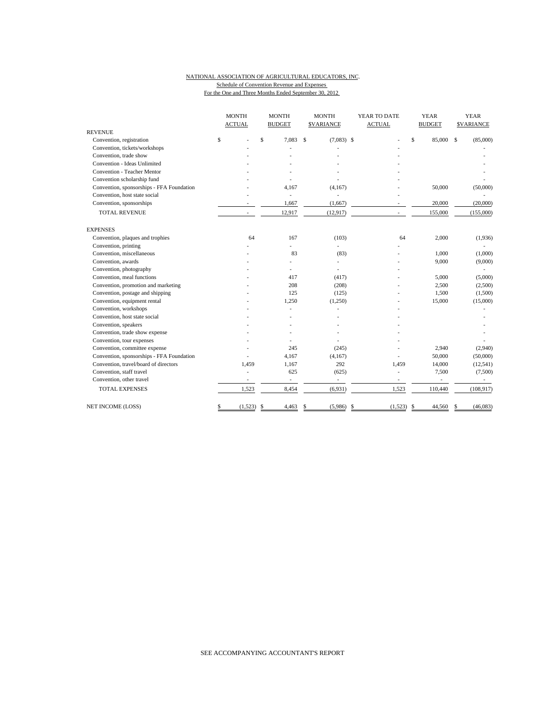### NATIONAL ASSOCIATION OF AGRICULTURAL EDUCATORS, INC. Schedule of Convention Revenue and Expenses For the One and Three Months Ended September 30, 2012

|                                           |               | <b>MONTH</b> |                          | <b>MONTH</b>     |              | YEAR TO DATE             | <b>YEAR</b>     | <b>YEAR</b>       |  |
|-------------------------------------------|---------------|--------------|--------------------------|------------------|--------------|--------------------------|-----------------|-------------------|--|
|                                           | <b>ACTUAL</b> |              | <b>BUDGET</b>            | <b>SVARIANCE</b> |              | <b>ACTUAL</b>            | <b>BUDGET</b>   | <b>\$VARIANCE</b> |  |
| <b>REVENUE</b>                            |               |              |                          |                  |              |                          |                 |                   |  |
| Convention, registration                  | \$            |              | $\mathsf{s}$<br>7.083    | Ŝ                | $(7,083)$ \$ |                          | \$<br>85,000 \$ | (85,000)          |  |
| Convention, tickets/workshops             |               |              |                          |                  |              |                          |                 |                   |  |
| Convention, trade show                    |               |              |                          |                  |              |                          |                 |                   |  |
| Convention - Ideas Unlimited              |               |              |                          |                  |              |                          |                 |                   |  |
| Convention - Teacher Mentor               |               |              |                          |                  |              |                          |                 |                   |  |
| Convention scholarship fund               |               |              |                          |                  |              |                          |                 |                   |  |
| Convention, sponsorships - FFA Foundation |               |              | 4,167                    |                  | (4,167)      |                          | 50,000          | (50,000)          |  |
| Convention, host state social             |               |              | ÷.                       |                  |              |                          |                 |                   |  |
| Convention, sponsorships                  |               |              | 1,667                    |                  | (1,667)      |                          | 20,000          | (20,000)          |  |
| <b>TOTAL REVENUE</b>                      |               | $\sim$       | 12,917                   |                  | (12, 917)    |                          | 155,000         | (155,000)         |  |
| <b>EXPENSES</b>                           |               |              |                          |                  |              |                          |                 |                   |  |
| Convention, plaques and trophies          |               | 64           | 167                      |                  | (103)        | 64                       | 2,000           | (1,936)           |  |
| Convention, printing                      |               |              | ÷.                       |                  | ÷.           |                          |                 |                   |  |
| Convention, miscellaneous                 |               |              | 83                       |                  | (83)         |                          | 1.000           | (1,000)           |  |
| Convention, awards                        |               |              | $\overline{a}$           |                  | L.           |                          | 9,000           | (9,000)           |  |
| Convention, photography                   |               |              | ä,                       |                  | ä,           |                          |                 |                   |  |
| Convention, meal functions                |               |              | 417                      |                  | (417)        |                          | 5,000           | (5,000)           |  |
| Convention, promotion and marketing       |               |              | 208                      |                  | (208)        |                          | 2,500           | (2,500)           |  |
| Convention, postage and shipping          |               |              | 125                      |                  | (125)        |                          | 1,500           | (1,500)           |  |
| Convention, equipment rental              |               |              | 1,250                    |                  | (1,250)      |                          | 15,000          | (15,000)          |  |
| Convention, workshops                     |               |              |                          |                  |              |                          |                 |                   |  |
| Convention, host state social             |               |              |                          |                  |              |                          |                 |                   |  |
| Convention, speakers                      |               |              |                          |                  |              |                          |                 |                   |  |
| Convention, trade show expense            |               |              |                          |                  |              |                          |                 |                   |  |
| Convention, tour expenses                 |               |              |                          |                  |              |                          |                 |                   |  |
| Convention, committee expense             |               |              | 245                      |                  | (245)        |                          | 2,940           | (2,940)           |  |
| Convention, sponsorships - FFA Foundation |               |              | 4,167                    |                  | (4,167)      |                          | 50,000          | (50,000)          |  |
| Convention, travel/board of directors     |               | 1,459        | 1,167                    |                  | 292          | 1,459                    | 14,000          | (12, 541)         |  |
| Convention, staff travel                  |               |              | 625                      |                  | (625)        | ä,                       | 7,500           | (7,500)           |  |
| Convention, other travel                  |               |              | $\overline{\phantom{a}}$ |                  | ÷,           | $\overline{\phantom{a}}$ | $\frac{1}{2}$   |                   |  |
| <b>TOTAL EXPENSES</b>                     |               | 1,523        | 8,454                    |                  | (6,931)      | 1,523                    | 110,440         | (108, 917)        |  |
| NET INCOME (LOSS)                         | \$            | (1,523)      | <sup>\$</sup><br>4,463   | \$               | (5,986)      | -\$<br>$(1,523)$ \$      | 44,560          | (46, 083)<br>S    |  |